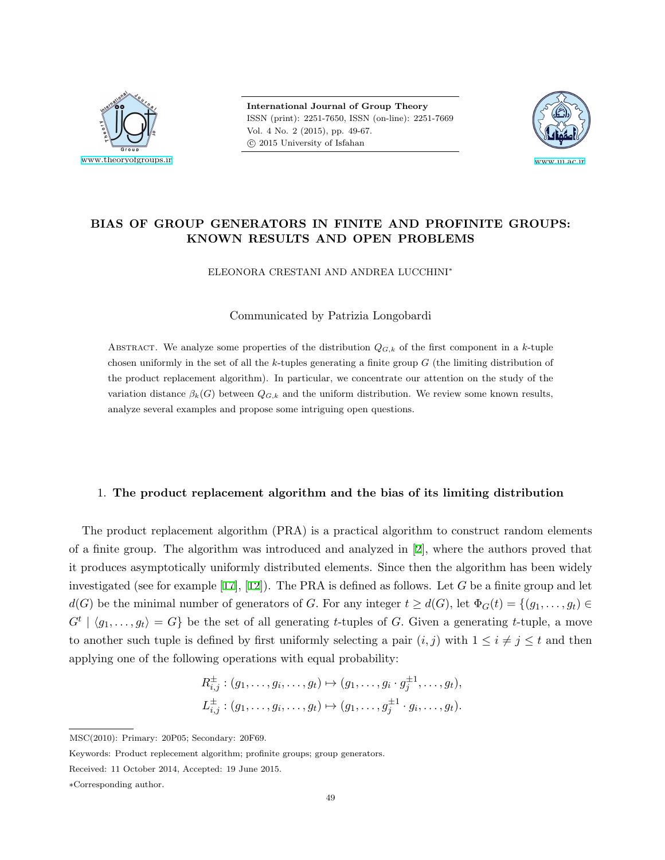

**International Journal of Group Theory** ISSN (print): 2251-7650, ISSN (on-line): 2251-7669 Vol. 4 No. 2 (2015), pp. 49-67. *⃝*c 2015 University of Isfahan



# **BIAS OF GROUP GENERATORS IN FINITE AND PROFINITE GROUPS: KNOWN RESULTS AND OPEN PROBLEMS**

### ELEONORA CRESTANI AND ANDREA LUCCHINI*<sup>∗</sup>*

### Communicated by Patrizia Longobardi

ABSTRACT. We analyze some properties of the distribution  $Q_{G,k}$  of the first component in a *k*-tuple chosen uniformly in the set of all the *k*-tuples generating a finite group *G* (the limiting distribution of the product replacement algorithm). In particular, we concentrate our attention on the study of the variation distance  $\beta_k(G)$  between  $Q_{G,k}$  and the uniform distribution. We review some known results, analyze several examples and propose some intriguing open questions.

### 1. **The product replacement algorithm and the bias of its limiting distribution**

The product replacement algorithm (PRA) is a practical algorithm to construct random elements of a finite group. The algorithm was introduced and analyzed in[[2](#page-17-0)], where the authors proved that it produces asymptotically uniformly distributed elements. Since then the algorithm has been widely investigated (see for example [\[17](#page-18-0)],[[12](#page-18-1)]). The PRA is defined as follows. Let *G* be a finite group and let *d*(*G*) be the minimal number of generators of *G*. For any integer  $t \geq d(G)$ , let  $\Phi_G(t) = \{(g_1, \ldots, g_t) \in$  $G^t \mid \langle g_1, \ldots, g_t \rangle = G$  be the set of all generating *t*-tuples of *G*. Given a generating *t*-tuple, a move to another such tuple is defined by first uniformly selecting a pair  $(i, j)$  with  $1 \leq i \neq j \leq t$  and then applying one of the following operations with equal probability:

$$
R_{i,j}^{\pm} : (g_1, \ldots, g_i, \ldots, g_t) \mapsto (g_1, \ldots, g_i \cdot g_j^{\pm 1}, \ldots, g_t),
$$
  

$$
L_{i,j}^{\pm} : (g_1, \ldots, g_i, \ldots, g_t) \mapsto (g_1, \ldots, g_j^{\pm 1} \cdot g_i, \ldots, g_t).
$$

MSC(2010): Primary: 20P05; Secondary: 20F69.

Keywords: Product replecement algorithm; profinite groups; group generators.

Received: 11 October 2014, Accepted: 19 June 2015.

*<sup>∗</sup>*Corresponding author.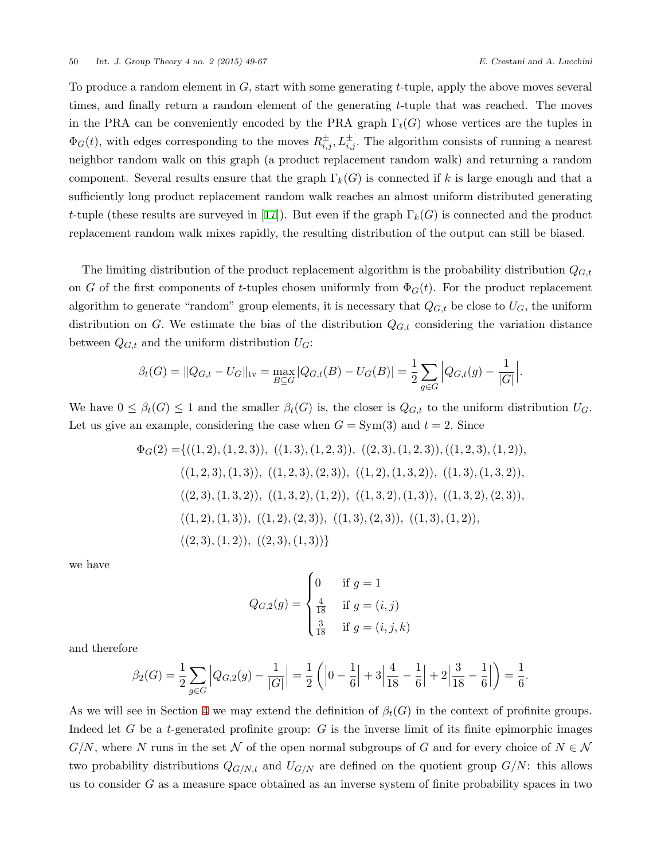To produce a random element in *G,* start with some generating *t*-tuple, apply the above moves several times, and finally return a random element of the generating *t*-tuple that was reached. The moves in the PRA can be conveniently encoded by the PRA graph  $\Gamma_t(G)$  whose vertices are the tuples in  $\Phi_G(t)$ , with edges corresponding to the moves  $R^{\pm}_{i,j}, L^{\pm}_{i,j}$ . The algorithm consists of running a nearest neighbor random walk on this graph (a product replacement random walk) and returning a random component. Several results ensure that the graph  $\Gamma_k(G)$  is connected if k is large enough and that a sufficiently long product replacement random walk reaches an almost uniform distributed generating *t*-tuple (these results are surveyed in [\[17](#page-18-0)]). But even if the graph  $\Gamma_k(G)$  is connected and the product replacement random walk mixes rapidly, the resulting distribution of the output can still be biased.

The limiting distribution of the product replacement algorithm is the probability distribution *QG,t* on *G* of the first components of *t*-tuples chosen uniformly from  $\Phi_G(t)$ . For the product replacement algorithm to generate "random" group elements, it is necessary that  $Q_{G,t}$  be close to  $U_G$ , the uniform distribution on *G*. We estimate the bias of the distribution  $Q_{G,t}$  considering the variation distance between  $Q_{G,t}$  and the uniform distribution  $U_G$ :

$$
\beta_t(G) = ||Q_{G,t} - U_G||_{\text{tv}} = \max_{B \subseteq G} |Q_{G,t}(B) - U_G(B)| = \frac{1}{2} \sum_{g \in G} |Q_{G,t}(g) - \frac{1}{|G|}.
$$

We have  $0 \leq \beta_t(G) \leq 1$  and the smaller  $\beta_t(G)$  is, the closer is  $Q_{G,t}$  to the uniform distribution  $U_G$ . Let us give an example, considering the case when  $G = Sym(3)$  and  $t = 2$ . Since

$$
\Phi_G(2) = \{((1, 2), (1, 2, 3)), ((1, 3), (1, 2, 3)), ((2, 3), (1, 2, 3)), ((1, 2, 3), (1, 2)), ((1, 2, 3), (1, 3)), ((1, 2, 3), (2, 3)), ((1, 2), (1, 3, 2)), ((1, 3), (1, 3, 2)), ((2, 3), (1, 3, 2), (1, 2), (1, 2), (1, 3), (1, 3), (1, 2), (2, 3), ((1, 2), (1, 3), (1, 2), (2, 3), ((1, 3), (1, 2), (2, 3), (1, 2), ((2, 3), (1, 3))\}
$$

we have

$$
Q_{G,2}(g) = \begin{cases} 0 & \text{if } g = 1\\ \frac{4}{18} & \text{if } g = (i,j) \\ \frac{3}{18} & \text{if } g = (i,j,k) \end{cases}
$$

and therefore

$$
\beta_2(G) = \frac{1}{2} \sum_{g \in G} \left| Q_{G,2}(g) - \frac{1}{|G|} \right| = \frac{1}{2} \left( \left| 0 - \frac{1}{6} \right| + 3 \left| \frac{4}{18} - \frac{1}{6} \right| + 2 \left| \frac{3}{18} - \frac{1}{6} \right| \right) = \frac{1}{6}.
$$

As we will see in Section [4](#page-6-0) we may extend the definition of  $\beta_t(G)$  in the context of profinite groups. Indeed let *G* be a *t*-generated profinite group: *G* is the inverse limit of its finite epimorphic images  $G/N$ , where *N* runs in the set *N* of the open normal subgroups of *G* and for every choice of  $N \in \mathcal{N}$ two probability distributions  $Q_{G/N,t}$  and  $U_{G/N}$  are defined on the quotient group  $G/N$ : this allows us to consider *G* as a measure space obtained as an inverse system of finite probability spaces in two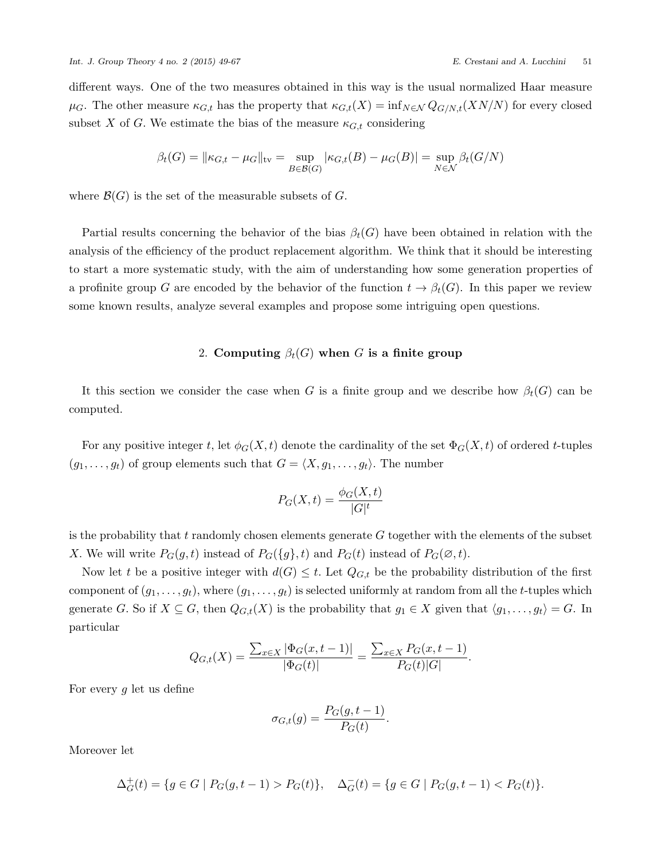different ways. One of the two measures obtained in this way is the usual normalized Haar measure  $\mu$ <sup>*G*</sup>. The other measure  $\kappa$ <sub>*G*,t</sub> has the property that  $\kappa$ <sub>*G*,t</sub>(*X*) = inf<sub>*N*∈N</sub>  $Q$ <sub>*G/N,t*</sub>(*XN/N*) for every closed subset *X* of *G*. We estimate the bias of the measure  $\kappa_{G,t}$  considering

$$
\beta_t(G) = ||\kappa_{G,t} - \mu_G||_{\text{tv}} = \sup_{B \in \mathcal{B}(G)} |\kappa_{G,t}(B) - \mu_G(B)| = \sup_{N \in \mathcal{N}} \beta_t(G/N)
$$

where  $\mathcal{B}(G)$  is the set of the measurable subsets of  $G$ .

Partial results concerning the behavior of the bias  $\beta_t(G)$  have been obtained in relation with the analysis of the efficiency of the product replacement algorithm. We think that it should be interesting to start a more systematic study, with the aim of understanding how some generation properties of a profinite group *G* are encoded by the behavior of the function  $t \to \beta_t(G)$ . In this paper we review some known results, analyze several examples and propose some intriguing open questions.

# 2. **Computing**  $\beta_t(G)$  when *G* is a finite group

<span id="page-2-0"></span>It this section we consider the case when *G* is a finite group and we describe how  $\beta_t(G)$  can be computed.

For any positive integer *t*, let  $\phi_G(X, t)$  denote the cardinality of the set  $\Phi_G(X, t)$  of ordered *t*-tuples  $(g_1, \ldots, g_t)$  of group elements such that  $G = \langle X, g_1, \ldots, g_t \rangle$ . The number

$$
P_G(X,t) = \frac{\phi_G(X,t)}{|G|^t}
$$

is the probability that *t* randomly chosen elements generate *G* together with the elements of the subset *X*. We will write  $P_G(g, t)$  instead of  $P_G(\lbrace g \rbrace, t)$  and  $P_G(t)$  instead of  $P_G(\emptyset, t)$ .

Now let *t* be a positive integer with  $d(G) \leq t$ . Let  $Q_{G,t}$  be the probability distribution of the first component of  $(g_1, \ldots, g_t)$ , where  $(g_1, \ldots, g_t)$  is selected uniformly at random from all the *t*-tuples which generate *G*. So if  $X \subseteq G$ , then  $Q_{G,t}(X)$  is the probability that  $g_1 \in X$  given that  $\langle g_1, \ldots, g_t \rangle = G$ . In particular

$$
Q_{G,t}(X) = \frac{\sum_{x \in X} |\Phi_G(x, t-1)|}{|\Phi_G(t)|} = \frac{\sum_{x \in X} P_G(x, t-1)}{P_G(t)|G|}.
$$

For every *g* let us define

$$
\sigma_{G,t}(g) = \frac{P_G(g, t-1)}{P_G(t)}.
$$

Moreover let

$$
\Delta_G^+(t) = \{ g \in G \mid P_G(g, t-1) > P_G(t) \}, \quad \Delta_G^-(t) = \{ g \in G \mid P_G(g, t-1) < P_G(t) \}.
$$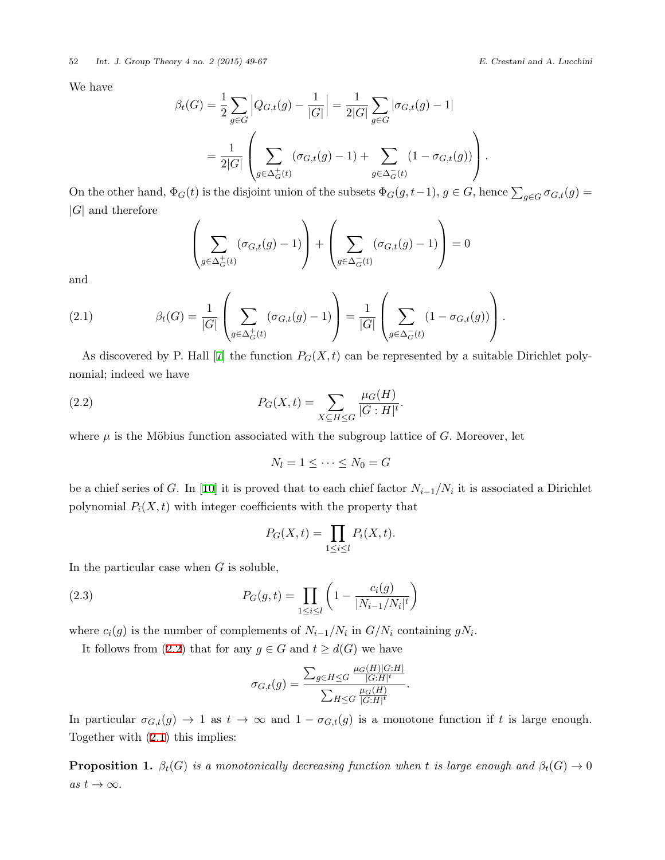We have

$$
\beta_t(G) = \frac{1}{2} \sum_{g \in G} \left| Q_{G,t}(g) - \frac{1}{|G|} \right| = \frac{1}{2|G|} \sum_{g \in G} |\sigma_{G,t}(g) - 1|
$$

$$
= \frac{1}{2|G|} \left( \sum_{g \in \Delta_G^+(t)} (\sigma_{G,t}(g) - 1) + \sum_{g \in \Delta_G^-(t)} (1 - \sigma_{G,t}(g)) \right).
$$

On the other hand,  $\Phi_G(t)$  is the disjoint union of the subsets  $\Phi_G(g, t-1)$ ,  $g \in G$ , hence  $\sum_{g \in G} \sigma_{G,t}(g) =$ *|G|* and therefore

$$
\left(\sum_{g \in \Delta_G^+(t)} (\sigma_{G,t}(g) - 1)\right) + \left(\sum_{g \in \Delta_G^-(t)} (\sigma_{G,t}(g) - 1)\right) = 0
$$

and

<span id="page-3-1"></span>(2.1) 
$$
\beta_t(G) = \frac{1}{|G|} \left( \sum_{g \in \Delta_G^+(t)} (\sigma_{G,t}(g) - 1) \right) = \frac{1}{|G|} \left( \sum_{g \in \Delta_G^-(t)} (1 - \sigma_{G,t}(g)) \right).
$$

As discovered by P. Hall [\[7\]](#page-17-1) the function  $P_G(X, t)$  can be represented by a suitable Dirichlet polynomial; indeed we have

(2.2) 
$$
P_G(X,t) = \sum_{X \subseteq H \le G} \frac{\mu_G(H)}{|G:H|^{t}}.
$$

where  $\mu$  is the Möbius function associated with the subgroup lattice of *G*. Moreover, let

<span id="page-3-0"></span>
$$
N_l = 1 \leq \cdots \leq N_0 = G
$$

be a chief series of *G*. In[[10\]](#page-17-2) it is proved that to each chief factor *Ni−*1*/N<sup>i</sup>* it is associated a Dirichlet polynomial  $P_i(X, t)$  with integer coefficients with the property that

<span id="page-3-2"></span>
$$
P_G(X,t) = \prod_{1 \le i \le l} P_i(X,t).
$$

In the particular case when *G* is soluble,

(2.3) 
$$
P_G(g,t) = \prod_{1 \le i \le l} \left(1 - \frac{c_i(g)}{|N_{i-1}/N_i|^t}\right)
$$

where  $c_i(g)$  is the number of complements of  $N_{i-1}/N_i$  in  $G/N_i$  containing  $gN_i$ .

It follows from [\(2.2](#page-3-0)) that for any  $g \in G$  and  $t \geq d(G)$  we have

$$
\sigma_{G,t}(g) = \frac{\sum_{g \in H \leq G} \frac{\mu_G(H)|G:H|}{|G:H|^t}}{\sum_{H \leq G} \frac{\mu_G(H)}{|G:H|^t}}.
$$

In particular  $\sigma_{G,t}(g) \to 1$  as  $t \to \infty$  and  $1 - \sigma_{G,t}(g)$  is a monotone function if *t* is large enough. Together with [\(2.1](#page-3-1)) this implies:

**Proposition 1.**  $\beta_t(G)$  *is a monotonically decreasing function when t is large enough and*  $\beta_t(G) \to 0$  $as t \rightarrow \infty$ .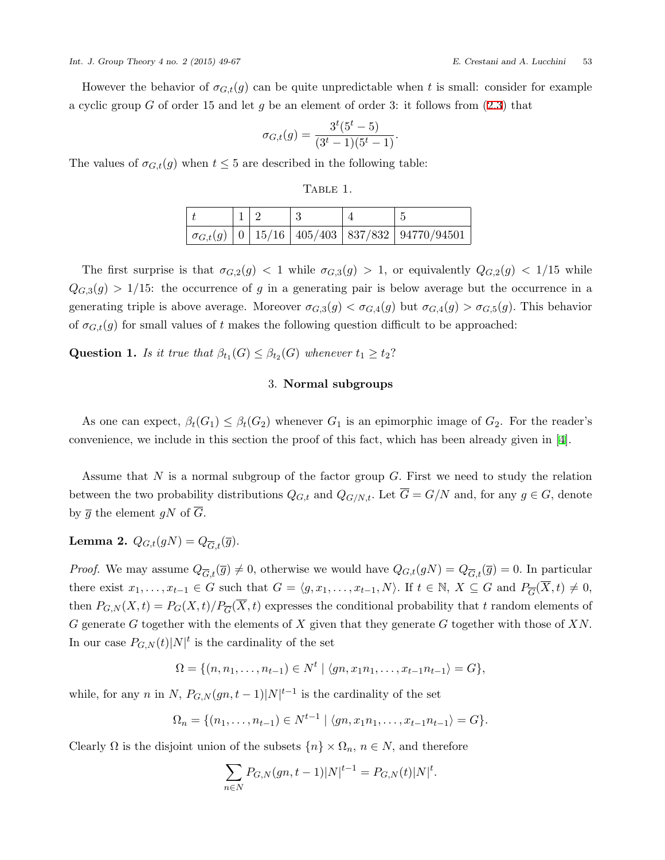However the behavior of  $\sigma_{G,t}(g)$  can be quite unpredictable when t is small: consider for example a cyclic group *G* of order 15 and let *g* be an element of order 3: it follows from([2.3\)](#page-3-2) that

$$
\sigma_{G,t}(g) = \frac{3^t (5^t - 5)}{(3^t - 1)(5^t - 1)}.
$$

The values of  $\sigma_{G,t}(g)$  when  $t \leq 5$  are described in the following table:

Table 1.

|  |  | $\mid \sigma_{G,t}(g) \mid 0 \mid 15/16 \mid 405/403 \mid 837/832 \mid 94770/94501 \mid$ |
|--|--|------------------------------------------------------------------------------------------|

The first surprise is that  $\sigma_{G,2}(g) < 1$  while  $\sigma_{G,3}(g) > 1$ , or equivalently  $Q_{G,2}(g) < 1/15$  while  $Q_{G,3}(g) > 1/15$ : the occurrence of *g* in a generating pair is below average but the occurrence in a generating triple is above average. Moreover  $\sigma_{G,3}(g) < \sigma_{G,4}(g)$  but  $\sigma_{G,4}(g) > \sigma_{G,5}(g)$ . This behavior of  $\sigma_{G,t}(g)$  for small values of t makes the following question difficult to be approached:

<span id="page-4-1"></span>**Question 1.** *Is it true that*  $\beta_{t_1}(G) \leq \beta_{t_2}(G)$  *whenever*  $t_1 \geq t_2$ ?

### 3. **Normal subgroups**

As one can expect,  $\beta_t(G_1) \leq \beta_t(G_2)$  whenever  $G_1$  is an epimorphic image of  $G_2$ . For the reader's convenience, we include in this section the proof of this fact, which has been already given in[[4](#page-17-3)].

Assume that *N* is a normal subgroup of the factor group *G.* First we need to study the relation between the two probability distributions  $Q_{G,t}$  and  $Q_{G/N,t}$ . Let  $\overline{G} = G/N$  and, for any  $g \in G$ , denote by  $\overline{g}$  the element  $gN$  of  $\overline{G}$ .

<span id="page-4-0"></span>**Lemma 2.**  $Q_{G,t}(gN) = Q_{\overline{G},t}(\overline{g})$ .

*Proof.* We may assume  $Q_{\overline{G},t}(\overline{g}) \neq 0$ , otherwise we would have  $Q_{G,t}(gN) = Q_{\overline{G},t}(\overline{g}) = 0$ . In particular there exist  $x_1, \ldots, x_{t-1} \in G$  such that  $G = \langle g, x_1, \ldots, x_{t-1}, N \rangle$ . If  $t \in \mathbb{N}, X \subseteq G$  and  $P_{\overline{G}}(X, t) \neq 0$ , then  $P_{G,N}(X,t) = P_G(X,t)/P_{\overline{G}}(X,t)$  expresses the conditional probability that *t* random elements of *G* generate *G* together with the elements of *X* given that they generate *G* together with those of *XN.* In our case  $P_{G,N}(t)|N|$ <sup>t</sup> is the cardinality of the set

$$
\Omega = \{(n, n_1, \ldots, n_{t-1}) \in N^t \mid \langle gn, x_1n_1, \ldots, x_{t-1}n_{t-1} \rangle = G\},\
$$

while, for any *n* in *N*,  $P_{G,N}(gn, t-1)|N|^{t-1}$  is the cardinality of the set

$$
\Omega_n = \{(n_1, \ldots, n_{t-1}) \in N^{t-1} \mid \langle gn, x_1n_1, \ldots, x_{t-1}n_{t-1} \rangle = G\}.
$$

Clearly  $\Omega$  is the disjoint union of the subsets  $\{n\} \times \Omega_n$ ,  $n \in N$ , and therefore

$$
\sum_{n \in N} P_{G,N}(gn, t-1)|N|^{t-1} = P_{G,N}(t)|N|^t.
$$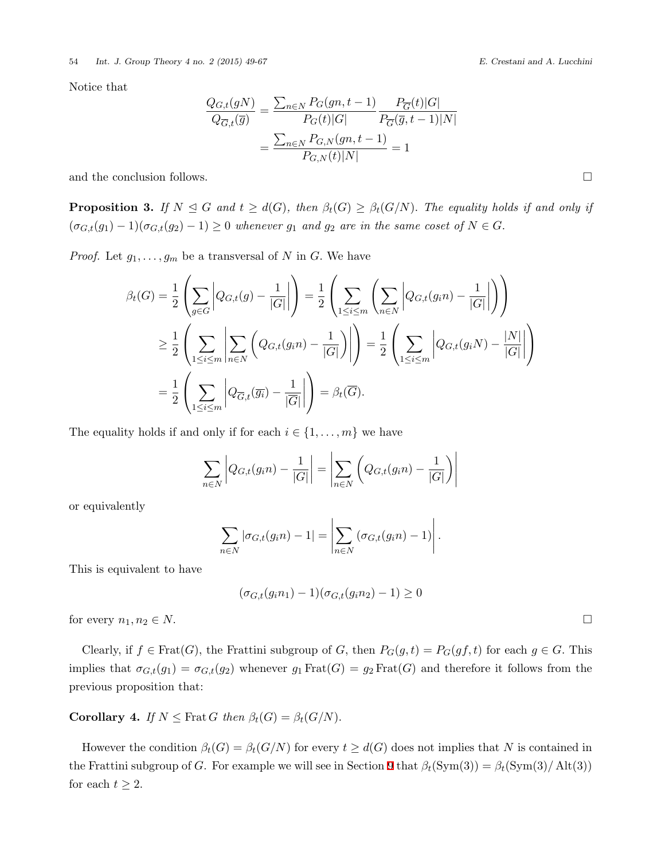Notice that

$$
\frac{Q_{G,t}(gN)}{Q_{\overline{G},t}(\overline{g})} = \frac{\sum_{n \in N} P_G(gn, t-1)}{P_G(t)|G|} \frac{P_{\overline{G}}(t)|G|}{P_{\overline{G}}(\overline{g}, t-1)|N|} = \frac{\sum_{n \in N} P_{G,N}(gn, t-1)}{P_{G,N}(t)|N|} = 1
$$

and the conclusion follows.  $\Box$ 

<span id="page-5-0"></span>**Proposition 3.** If  $N \leq G$  and  $t \geq d(G)$ , then  $\beta_t(G) \geq \beta_t(G/N)$ . The equality holds if and only if  $(\sigma_{G,t}(g_1) - 1)(\sigma_{G,t}(g_2) - 1) \geq 0$  *whenever*  $g_1$  *and*  $g_2$  *are in the same coset of*  $N \in G$ .

*Proof.* Let  $g_1, \ldots, g_m$  be a transversal of *N* in *G*. We have

$$
\beta_t(G) = \frac{1}{2} \left( \sum_{g \in G} \left| Q_{G,t}(g) - \frac{1}{|G|} \right| \right) = \frac{1}{2} \left( \sum_{1 \le i \le m} \left( \sum_{n \in N} \left| Q_{G,t}(g_i n) - \frac{1}{|G|} \right| \right) \right)
$$
  
\n
$$
\ge \frac{1}{2} \left( \sum_{1 \le i \le m} \left| \sum_{n \in N} \left( Q_{G,t}(g_i n) - \frac{1}{|G|} \right) \right| \right) = \frac{1}{2} \left( \sum_{1 \le i \le m} \left| Q_{G,t}(g_i N) - \frac{|N|}{|G|} \right| \right)
$$
  
\n
$$
= \frac{1}{2} \left( \sum_{1 \le i \le m} \left| Q_{\overline{G},t}(\overline{g_i}) - \frac{1}{|\overline{G}|} \right| \right) = \beta_t(\overline{G}).
$$

The equality holds if and only if for each  $i \in \{1, \ldots, m\}$  we have

$$
\sum_{n\in N} \left| Q_{G,t}(g_in) - \frac{1}{|G|} \right| = \left| \sum_{n\in N} \left( Q_{G,t}(g_in) - \frac{1}{|G|} \right) \right|
$$

or equivalently

$$
\sum_{n\in N} |\sigma_{G,t}(g_in)-1| = \left|\sum_{n\in N} (\sigma_{G,t}(g_in)-1)\right|.
$$

This is equivalent to have

$$
(\sigma_{G,t}(g_in_1) - 1)(\sigma_{G,t}(g_in_2) - 1) \ge 0
$$

for every  $n_1, n_2 \in N$ .

Clearly, if  $f \in \text{Frat}(G)$ , the Frattini subgroup of *G*, then  $P_G(g, t) = P_G(gf, t)$  for each  $g \in G$ . This implies that  $\sigma_{G,t}(g_1) = \sigma_{G,t}(g_2)$  whenever  $g_1 \text{Frat}(G) = g_2 \text{Frat}(G)$  and therefore it follows from the previous proposition that:

**Corollary 4.** *If*  $N \leq$  Frat *G then*  $\beta_t(G) = \beta_t(G/N)$ .

However the condition  $\beta_t(G) = \beta_t(G/N)$  for every  $t \geq d(G)$  does not implies that N is contained in the Frattini subgroup of *G*. For example we will see in Section [9](#page-13-0) that  $\beta_t(\text{Sym}(3)) = \beta_t(\text{Sym}(3)/\text{Alt}(3))$ for each  $t \geq 2$ .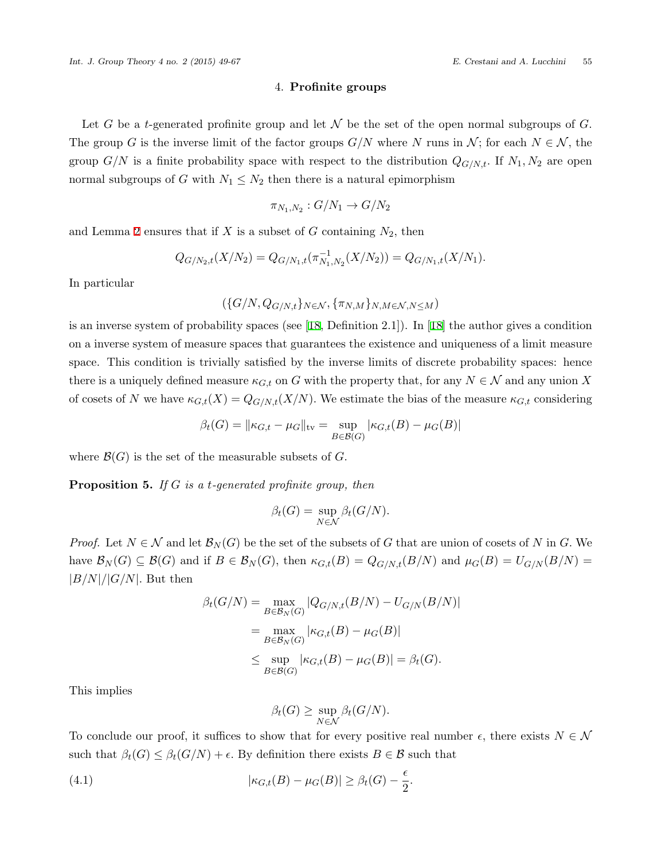#### 4. **Profinite groups**

<span id="page-6-0"></span>Let *G* be a *t*-generated profinite group and let  $\mathcal N$  be the set of the open normal subgroups of *G*. The group *G* is the inverse limit of the factor groups  $G/N$  where *N* runs in  $\mathcal{N}$ ; for each  $N \in \mathcal{N}$ , the group  $G/N$  is a finite probability space with respect to the distribution  $Q_{G/N,t}$ . If  $N_1, N_2$  are open normal subgroups of *G* with  $N_1 \leq N_2$  then there is a natural epimorphism

$$
\pi_{N_1,N_2}:G/N_1\to G/N_2
$$

and Lemma [2](#page-4-0) ensures that if  $X$  is a subset of  $G$  containing  $N_2$ , then

$$
Q_{G/N_2,t}(X/N_2) = Q_{G/N_1,t}(\pi_{N_1,N_2}^{-1}(X/N_2)) = Q_{G/N_1,t}(X/N_1).
$$

In particular

$$
(\{G/N, Q_{G/N,t}\}_{N\in\mathcal{N}}, \{\pi_{N,M}\}_{N,M\in\mathcal{N},N\leq M})
$$

is an inverse system of probability spaces (see[[18](#page-18-2), Definition 2.1]). In[[18](#page-18-2)] the author gives a condition on a inverse system of measure spaces that guarantees the existence and uniqueness of a limit measure space. This condition is trivially satisfied by the inverse limits of discrete probability spaces: hence there is a uniquely defined measure  $\kappa_{G,t}$  on *G* with the property that, for any  $N \in \mathcal{N}$  and any union X of cosets of *N* we have  $\kappa_{G,t}(X) = Q_{G/N,t}(X/N)$ . We estimate the bias of the measure  $\kappa_{G,t}$  considering

$$
\beta_t(G) = ||\kappa_{G,t} - \mu_G||_{\text{tv}} = \sup_{B \in \mathcal{B}(G)} |\kappa_{G,t}(B) - \mu_G(B)|
$$

where  $\mathcal{B}(G)$  is the set of the measurable subsets of  $G$ .

<span id="page-6-2"></span>**Proposition 5.** *If G is a t-generated profinite group, then*

$$
\beta_t(G) = \sup_{N \in \mathcal{N}} \beta_t(G/N).
$$

*Proof.* Let  $N \in \mathcal{N}$  and let  $\mathcal{B}_N(G)$  be the set of the subsets of *G* that are union of cosets of *N* in *G*. We have  $\mathcal{B}_N(G) \subseteq \mathcal{B}(G)$  and if  $B \in \mathcal{B}_N(G)$ , then  $\kappa_{G,t}(B) = Q_{G/N,t}(B/N)$  and  $\mu_G(B) = U_{G/N}(B/N)$  $|B/N|/|G/N|$ *.* But then

$$
\beta_t(G/N) = \max_{B \in \mathcal{B}_N(G)} |Q_{G/N,t}(B/N) - U_{G/N}(B/N)|
$$
  
= 
$$
\max_{B \in \mathcal{B}_N(G)} |\kappa_{G,t}(B) - \mu_G(B)|
$$
  

$$
\leq \sup_{B \in \mathcal{B}(G)} |\kappa_{G,t}(B) - \mu_G(B)| = \beta_t(G).
$$

This implies

<span id="page-6-1"></span>
$$
\beta_t(G) \geq \sup_{N \in \mathcal{N}} \beta_t(G/N).
$$

To conclude our proof, it suffices to show that for every positive real number  $\epsilon$ , there exists  $N \in \mathcal{N}$ such that  $\beta_t(G) \leq \beta_t(G/N) + \epsilon$ . By definition there exists  $B \in \mathcal{B}$  such that

(4.1) 
$$
|\kappa_{G,t}(B) - \mu_G(B)| \geq \beta_t(G) - \frac{\epsilon}{2}.
$$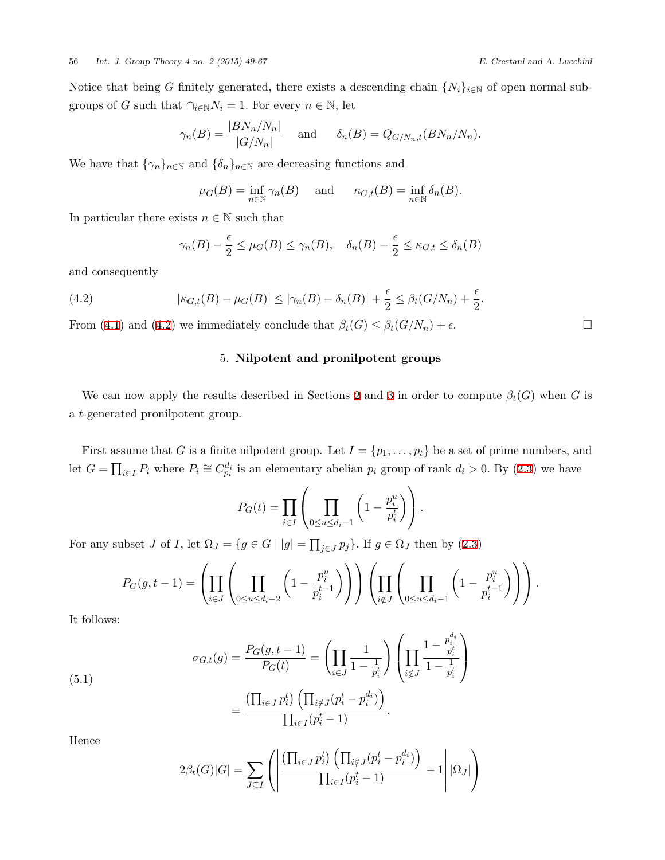*.*

Notice that being *G* finitely generated, there exists a descending chain  $\{N_i\}_{i\in\mathbb{N}}$  of open normal subgroups of *G* such that  $\bigcap_{i \in \mathbb{N}} N_i = 1$ . For every  $n \in \mathbb{N}$ , let

$$
\gamma_n(B) = \frac{|BN_n/N_n|}{|G/N_n|}
$$
 and  $\delta_n(B) = Q_{G/N_n,t}(BN_n/N_n)$ .

We have that  $\{\gamma_n\}_{n\in\mathbb{N}}$  and  $\{\delta_n\}_{n\in\mathbb{N}}$  are decreasing functions and

$$
\mu_G(B) = \inf_{n \in \mathbb{N}} \gamma_n(B)
$$
 and  $\kappa_{G,t}(B) = \inf_{n \in \mathbb{N}} \delta_n(B)$ .

In particular there exists  $n \in \mathbb{N}$  such that

<span id="page-7-0"></span>
$$
\gamma_n(B) - \frac{\epsilon}{2} \le \mu_G(B) \le \gamma_n(B), \quad \delta_n(B) - \frac{\epsilon}{2} \le \kappa_{G,t} \le \delta_n(B)
$$

and consequently

(4.2) 
$$
|\kappa_{G,t}(B) - \mu_G(B)| \le |\gamma_n(B) - \delta_n(B)| + \frac{\epsilon}{2} \le \beta_t(G/N_n) + \frac{\epsilon}{2}
$$

From [\(4.1](#page-6-1))and ([4.2\)](#page-7-0) we immediately conclude that  $\beta_t(G) \leq \beta_t(G/N_n) + \epsilon$ .

# 5. **Nilpotent and pronilpotent groups**

We can now apply the results described in Sections [2](#page-2-0) and [3](#page-4-1) in order to compute  $\beta_t(G)$  when *G* is a *t*-generated pronilpotent group.

First assume that *G* is a finite nilpotent group. Let  $I = \{p_1, \ldots, p_t\}$  be a set of prime numbers, and let  $G = \prod_{i \in I} P_i$  where  $P_i \cong C_{p_i}^{d_i}$  is an elementary abelian  $p_i$  group of rank  $d_i > 0$ . By [\(2.3](#page-3-2)) we have

$$
P_G(t) = \prod_{i \in I} \left( \prod_{0 \le u \le d_i-1} \left( 1 - \frac{p_i^u}{p_i^t} \right) \right).
$$

Forany subset *J* of *I*, let  $\Omega_J = \{ g \in G \mid |g| = \prod_{j \in J} p_j \}$ . If  $g \in \Omega_J$  then by ([2.3\)](#page-3-2)

$$
P_G(g, t-1) = \left( \prod_{i \in J} \left( \prod_{0 \le u \le d_i-2} \left( 1 - \frac{p_i^u}{p_i^{t-1}} \right) \right) \right) \left( \prod_{i \notin J} \left( \prod_{0 \le u \le d_i-1} \left( 1 - \frac{p_i^u}{p_i^{t-1}} \right) \right) \right).
$$

It follows:

(5.1)  

$$
\sigma_{G,t}(g) = \frac{P_G(g, t-1)}{P_G(t)} = \left(\prod_{i \in J} \frac{1}{1 - \frac{1}{p_i^t}}\right) \left(\prod_{i \notin J} \frac{1 - \frac{p_i^{d_i}}{p_i^t}}{1 - \frac{1}{p_i^t}}\right)
$$

$$
= \frac{\left(\prod_{i \in J} p_i^t\right) \left(\prod_{i \notin J} (p_i^t - p_i^{d_i})\right)}{\prod_{i \in I} (p_i^t - 1)}.
$$

Hence

<span id="page-7-1"></span>
$$
2\beta_t(G)|G| = \sum_{J \subseteq I} \left( \left| \frac{\left(\prod_{i \in J} p_i^t\right) \left(\prod_{i \notin J} (p_i^t - p_i^{d_i})\right)}{\prod_{i \in I} (p_i^t - 1)} - 1 \right| |\Omega_J| \right)
$$

$$
\qquad \qquad \Box
$$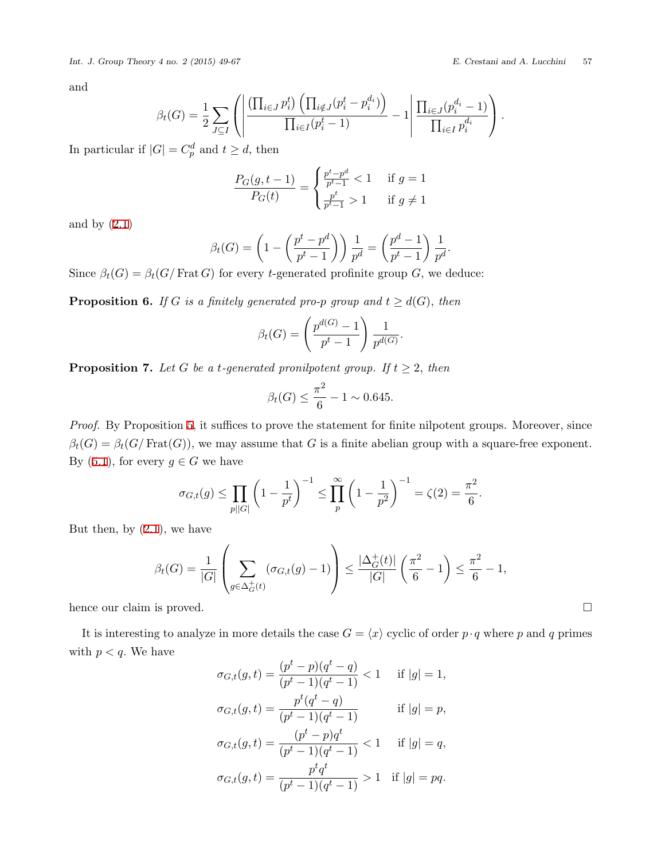and

$$
\beta_t(G) = \frac{1}{2} \sum_{J \subseteq I} \left( \left| \frac{\left( \prod_{i \in J} p_i^t \right) \left( \prod_{i \notin J} (p_i^t - p_i^{d_i}) \right)}{\prod_{i \in I} (p_i^t - 1)} - 1 \right| \frac{\prod_{i \in J} (p_i^{d_i} - 1)}{\prod_{i \in I} p_i^{d_i}} \right).
$$

In particular if  $|G| = C_p^d$  and  $t \geq d$ , then

$$
\frac{P_G(g, t-1)}{P_G(t)} = \begin{cases} \frac{p^t - p^d}{p^t - 1} & \text{if } g = 1\\ \frac{p^t}{p^t - 1} & \text{if } g \neq 1 \end{cases}
$$

and by  $(2.1)$ 

$$
\beta_t(G) = \left(1 - \left(\frac{p^t - p^d}{p^t - 1}\right)\right) \frac{1}{p^d} = \left(\frac{p^d - 1}{p^t - 1}\right) \frac{1}{p^d}.
$$

Since  $\beta_t(G) = \beta_t(G)$  Frat *G*) for every *t*-generated profinite group *G*, we deduce:

<span id="page-8-1"></span>**Proposition 6.** *If G is a finitely generated pro-p group and*  $t \geq d(G)$ *, then* 

$$
\beta_t(G) = \left(\frac{p^{d(G)} - 1}{p^t - 1}\right) \frac{1}{p^{d(G)}}.
$$

<span id="page-8-0"></span>**Proposition 7.** *Let G be a t-generated pronilpotent group. If*  $t \geq 2$ *, then* 

$$
\beta_t(G) \le \frac{\pi^2}{6} - 1 \sim 0.645.
$$

*Proof.* By Proposition [5,](#page-6-2) it suffices to prove the statement for finite nilpotent groups. Moreover, since  $\beta_t(G) = \beta_t(G/\text{Frat}(G))$ , we may assume that *G* is a finite abelian group with a square-free exponent. By([5.1\)](#page-7-1), for every  $g \in G$  we have

$$
\sigma_{G,t}(g) \le \prod_{p||G|} \left(1 - \frac{1}{p^t}\right)^{-1} \le \prod_{p=1}^{\infty} \left(1 - \frac{1}{p^2}\right)^{-1} = \zeta(2) = \frac{\pi^2}{6}.
$$

But then, by  $(2.1)$ , we have

$$
\beta_t(G) = \frac{1}{|G|} \left( \sum_{g \in \Delta_G^+(t)} (\sigma_{G,t}(g) - 1) \right) \le \frac{|\Delta_G^+(t)|}{|G|} \left( \frac{\pi^2}{6} - 1 \right) \le \frac{\pi^2}{6} - 1,
$$

hence our claim is proved.  $\Box$ 

It is interesting to analyze in more details the case  $G = \langle x \rangle$  cyclic of order  $p \cdot q$  where  $p$  and  $q$  primes with  $p < q$ . We have

$$
\sigma_{G,t}(g,t) = \frac{(p^t - p)(q^t - q)}{(p^t - 1)(q^t - 1)} < 1 \quad \text{if } |g| = 1,
$$
  

$$
\sigma_{G,t}(g,t) = \frac{p^t(q^t - q)}{(p^t - 1)(q^t - 1)} \quad \text{if } |g| = p,
$$
  

$$
\sigma_{G,t}(g,t) = \frac{(p^t - p)q^t}{(p^t - 1)(q^t - 1)} < 1 \quad \text{if } |g| = q,
$$
  

$$
\sigma_{G,t}(g,t) = \frac{p^t q^t}{(p^t - 1)(q^t - 1)} > 1 \quad \text{if } |g| = pq.
$$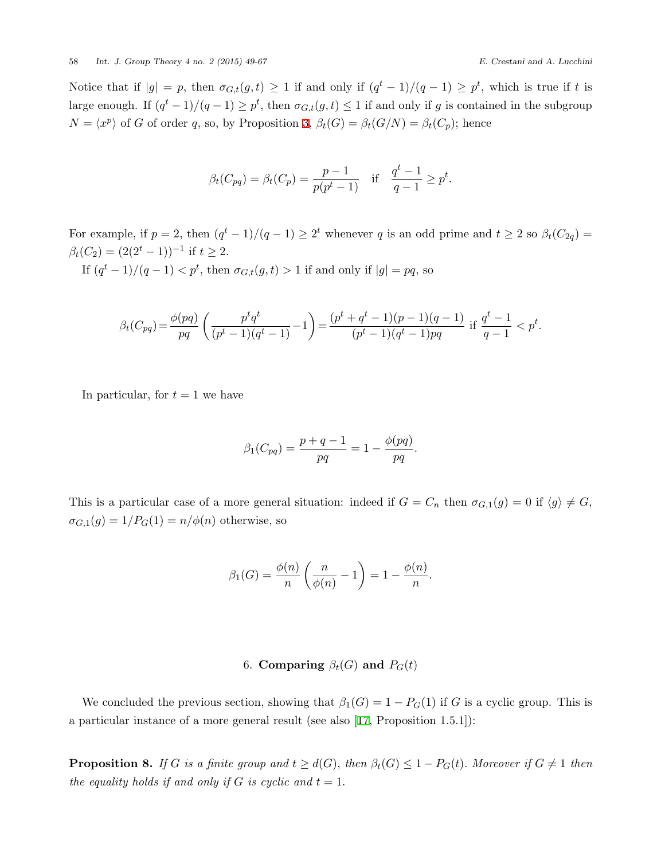Notice that if  $|g| = p$ , then  $\sigma_{G,t}(g,t) \geq 1$  if and only if  $(q^t-1)/(q-1) \geq p^t$ , which is true if t is large enough. If  $(q^t - 1)/(q - 1) \geq p^t$ , then  $\sigma_{G,t}(g,t) \leq 1$  if and only if *g* is contained in the subgroup  $N = \langle x^p \rangle$  of *G* of order *q*, so, by Proposition [3](#page-5-0),  $\beta_t(G) = \beta_t(G/N) = \beta_t(C_p)$ ; hence

$$
\beta_t(C_{pq}) = \beta_t(C_p) = \frac{p-1}{p(p^t-1)}
$$
 if  $\frac{q^t-1}{q-1} \geq p^t$ .

For example, if  $p = 2$ , then  $(q<sup>t</sup> - 1)/(q - 1) \ge 2<sup>t</sup>$  whenever *q* is an odd prime and  $t \ge 2$  so  $\beta_t(C_{2q}) =$  $\beta_t(C_2) = (2(2^t - 1))^{-1}$  if  $t \geq 2$ *.* 

If  $(q^t - 1)/(q - 1) < p^t$ , then  $\sigma_{G,t}(g, t) > 1$  if and only if  $|g| = pq$ , so

$$
\beta_t(C_{pq}) = \frac{\phi(pq)}{pq} \left( \frac{p^t q^t}{(p^t - 1)(q^t - 1)} - 1 \right) = \frac{(p^t + q^t - 1)(p - 1)(q - 1)}{(p^t - 1)(q^t - 1)pq} \text{ if } \frac{q^t - 1}{q - 1} < p^t.
$$

In particular, for  $t = 1$  we have

$$
\beta_1(C_{pq}) = \frac{p+q-1}{pq} = 1 - \frac{\phi(pq)}{pq}.
$$

This is a particular case of a more general situation: indeed if  $G = C_n$  then  $\sigma_{G,1}(g) = 0$  if  $\langle g \rangle \neq G$ ,  $\sigma_{G,1}(g) = 1/P_G(1) = n/\phi(n)$  otherwise, so

$$
\beta_1(G) = \frac{\phi(n)}{n} \left( \frac{n}{\phi(n)} - 1 \right) = 1 - \frac{\phi(n)}{n}.
$$

### 6. **Comparing**  $\beta_t(G)$  and  $P_G(t)$

<span id="page-9-1"></span>We concluded the previous section, showing that  $\beta_1(G) = 1 - P_G(1)$  if *G* is a cyclic group. This is a particular instance of a more general result (see also[[17,](#page-18-0) Proposition 1.5.1]):

<span id="page-9-0"></span>**Proposition 8.** If G is a finite group and  $t \geq d(G)$ , then  $\beta_t(G) \leq 1 - P_G(t)$ . Moreover if  $G \neq 1$  then *the equality holds if and only if*  $G$  *is cyclic and*  $t = 1$ *.*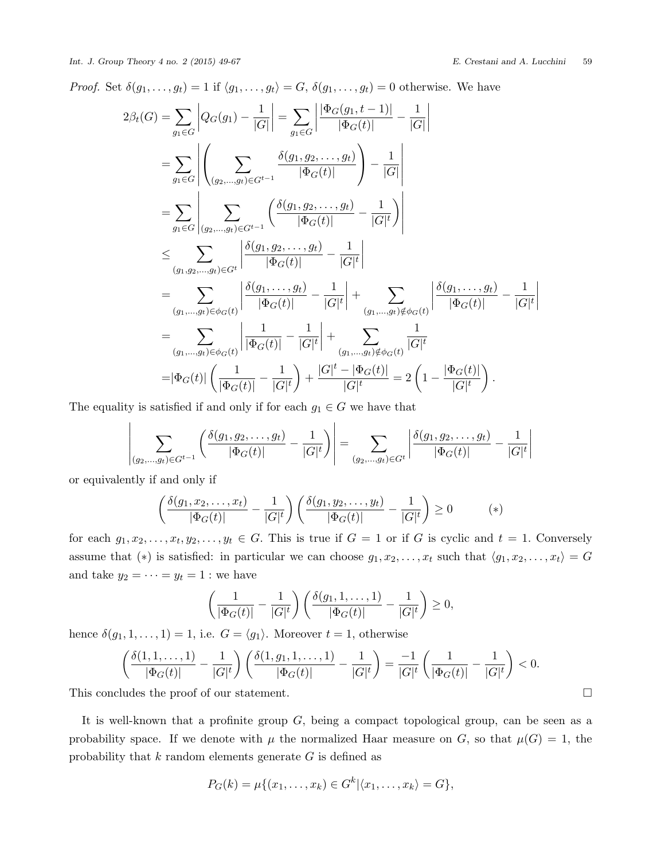*Proof.* Set  $\delta(g_1, \ldots, g_t) = 1$  if  $\langle g_1, \ldots, g_t \rangle = G$ ,  $\delta(g_1, \ldots, g_t) = 0$  otherwise. We have

$$
2\beta_t(G) = \sum_{g_1 \in G} \left| Q_G(g_1) - \frac{1}{|G|} \right| = \sum_{g_1 \in G} \left| \frac{|\Phi_G(g_1, t - 1)|}{|\Phi_G(t)|} - \frac{1}{|G|} \right|
$$
  
\n
$$
= \sum_{g_1 \in G} \left| \left( \sum_{(g_2, \ldots, g_t) \in G^{t-1}} \frac{\delta(g_1, g_2, \ldots, g_t)}{|\Phi_G(t)|} \right) - \frac{1}{|G|} \right|
$$
  
\n
$$
= \sum_{g_1 \in G} \left| \sum_{(g_2, \ldots, g_t) \in G^{t-1}} \left( \frac{\delta(g_1, g_2, \ldots, g_t)}{|\Phi_G(t)|} - \frac{1}{|G|^t} \right) \right|
$$
  
\n
$$
\leq \sum_{(g_1, g_2, \ldots, g_t) \in G^t} \left| \frac{\delta(g_1, g_2, \ldots, g_t)}{|\Phi_G(t)|} - \frac{1}{|G|^t} \right|
$$
  
\n
$$
= \sum_{(g_1, \ldots, g_t) \in \phi_G(t)} \left| \frac{\delta(g_1, \ldots, g_t)}{|\Phi_G(t)|} - \frac{1}{|G|^t} \right| + \sum_{(g_1, \ldots, g_t) \notin \phi_G(t)} \left| \frac{\delta(g_1, \ldots, g_t)}{|\Phi_G(t)|} - \frac{1}{|G|^t} \right|
$$
  
\n
$$
= \sum_{(g_1, \ldots, g_t) \in \phi_G(t)} \left| \frac{1}{|\Phi_G(t)|} - \frac{1}{|G|^t} \right| + \sum_{(g_1, \ldots, g_t) \notin \phi_G(t)} \frac{1}{|G|^t}
$$
  
\n
$$
= |\Phi_G(t)| \left( \frac{1}{|\Phi_G(t)|} - \frac{1}{|G|^t} \right) + \frac{|G|^t - |\Phi_G(t)|}{|G|^t} = 2 \left( 1 - \frac{|\Phi_G(t)|}{|G|^t} \right).
$$

The equality is satisfied if and only if for each  $g_1 \in G$  we have that

$$
\left| \sum_{(g_2,...,g_t)\in G^{t-1}} \left( \frac{\delta(g_1,g_2,...,g_t)}{|\Phi_G(t)|} - \frac{1}{|G|^t} \right) \right| = \sum_{(g_2,...,g_t)\in G^t} \left| \frac{\delta(g_1,g_2,...,g_t)}{|\Phi_G(t)|} - \frac{1}{|G|^t} \right|
$$

or equivalently if and only if

$$
\left(\frac{\delta(g_1, x_2, \dots, x_t)}{|\Phi_G(t)|} - \frac{1}{|G|^t}\right) \left(\frac{\delta(g_1, y_2, \dots, y_t)}{|\Phi_G(t)|} - \frac{1}{|G|^t}\right) \ge 0 \tag{*}
$$

for each  $g_1, x_2, \ldots, x_t, y_2, \ldots, y_t \in G$ . This is true if  $G = 1$  or if  $G$  is cyclic and  $t = 1$ . Conversely assume that  $(*)$  is satisfied: in particular we can choose  $g_1, x_2, \ldots, x_t$  such that  $\langle g_1, x_2, \ldots, x_t \rangle = G$ and take  $y_2 = \cdots = y_t = 1$ : we have

$$
\left(\frac{1}{|\Phi_G(t)|} - \frac{1}{|G|^t}\right) \left(\frac{\delta(g_1, 1, \dots, 1)}{|\Phi_G(t)|} - \frac{1}{|G|^t}\right) \ge 0,
$$

hence  $\delta(g_1, 1, \ldots, 1) = 1$ , i.e.  $G = \langle g_1 \rangle$ . Moreover  $t = 1$ , otherwise

$$
\left(\frac{\delta(1,1,\ldots,1)}{|\Phi_G(t)|}-\frac{1}{|G|^t}\right)\left(\frac{\delta(1,g_1,1,\ldots,1)}{|\Phi_G(t)|}-\frac{1}{|G|^t}\right)=\frac{-1}{|G|^t}\left(\frac{1}{|\Phi_G(t)|}-\frac{1}{|G|^t}\right)<0.
$$

This concludes the proof of our statement. □

It is well-known that a profinite group *G*, being a compact topological group, can be seen as a probability space. If we denote with  $\mu$  the normalized Haar measure on *G*, so that  $\mu(G) = 1$ , the probability that *k* random elements generate *G* is defined as

$$
P_G(k) = \mu\{(x_1,\ldots,x_k) \in G^k | \langle x_1,\ldots,x_k \rangle = G\},\
$$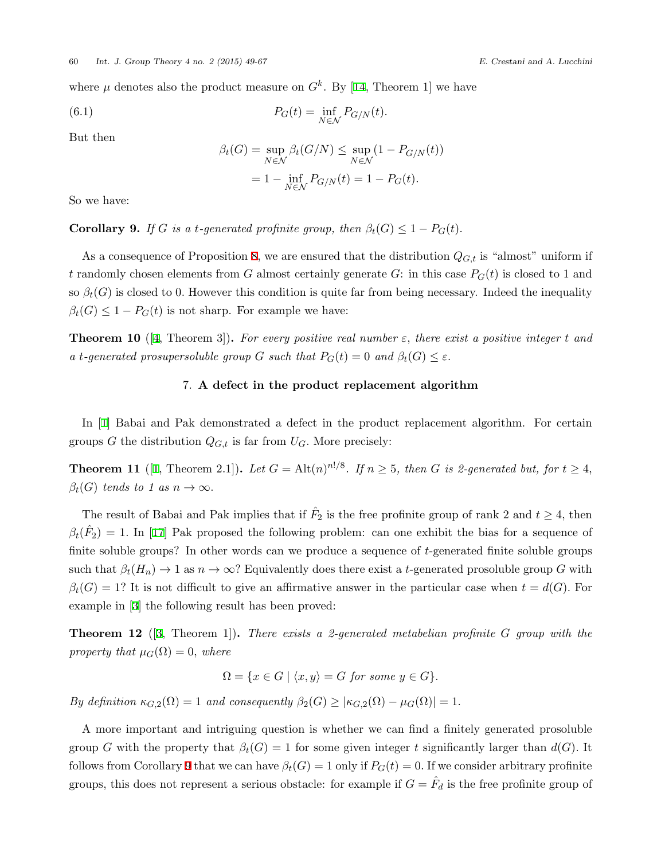where $\mu$  denotes also the product measure on  $G^k$ . By [[14,](#page-18-3) Theorem 1] we have

(6.1) 
$$
P_G(t) = \inf_{N \in \mathcal{N}} P_{G/N}(t).
$$

But then

$$
\beta_t(G) = \sup_{N \in \mathcal{N}} \beta_t(G/N) \le \sup_{N \in \mathcal{N}} (1 - P_{G/N}(t))
$$

$$
= 1 - \inf_{N \in \mathcal{N}} P_{G/N}(t) = 1 - P_G(t).
$$

So we have:

<span id="page-11-0"></span>**Corollary 9.** *If G is a t*-generated profinite group, then  $\beta_t(G) \leq 1 - P_G(t)$ .

As a consequence of Proposition [8](#page-9-0), we are ensured that the distribution *QG,t* is "almost" uniform if *t* randomly chosen elements from *G* almost certainly generate *G*: in this case  $P_G(t)$  is closed to 1 and so  $\beta_t(G)$  is closed to 0. However this condition is quite far from being necessary. Indeed the inequality  $\beta_t(G) \leq 1 - P_G(t)$  is not sharp. For example we have:

**Theorem 10** ([\[4,](#page-17-3) Theorem 3]). For every positive real number  $\varepsilon$ , there exist a positive integer t and *a t*-generated prosupersoluble group *G* such that  $P_G(t) = 0$  and  $\beta_t(G) \leq \varepsilon$ .

# 7. **A defect in the product replacement algorithm**

In [\[1\]](#page-17-4) Babai and Pak demonstrated a defect in the product replacement algorithm. For certain groups *G* the distribution  $Q_{G,t}$  is far from  $U_G$ . More precisely:

**Theorem [1](#page-17-4)1** ([1, Theorem 2.1]). Let  $G = Alt(n)^{n!/8}$ . If  $n \geq 5$ , then G is 2-generated but, for  $t \geq 4$ ,  $\beta_t(G)$  *tends to 1 as*  $n \to \infty$ *.* 

The result of Babai and Pak implies that if  $\hat{F}_2$  is the free profinite group of rank 2 and  $t \geq 4$ , then  $\beta_t(\hat{F}_2) = 1$ . In [\[17](#page-18-0)] Pak proposed the following problem: can one exhibit the bias for a sequence of finite soluble groups? In other words can we produce a sequence of *t*-generated finite soluble groups such that  $\beta_t(H_n) \to 1$  as  $n \to \infty$ ? Equivalently does there exist a *t*-generated prosoluble group *G* with  $\beta_t(G) = 1$ ? It is not difficult to give an affirmative answer in the particular case when  $t = d(G)$ . For example in[[3](#page-17-5)] the following result has been proved:

**Theorem 12** ([[3](#page-17-5), Theorem 1])**.** *There exists a 2-generated metabelian profinite G group with the property that*  $\mu_G(\Omega) = 0$ *, where* 

$$
\Omega = \{ x \in G \mid \langle x, y \rangle = G \text{ for some } y \in G \}.
$$

*By definition*  $\kappa_{G,2}(\Omega) = 1$  *and consequently*  $\beta_2(G) \geq |\kappa_{G,2}(\Omega) - \mu_G(\Omega)| = 1$ .

A more important and intriguing question is whether we can find a finitely generated prosoluble group *G* with the property that  $\beta_t(G) = 1$  for some given integer *t* significantly larger than  $d(G)$ . It follows from Corollary [9](#page-11-0) that we can have  $\beta_t(G) = 1$  only if  $P_G(t) = 0$ . If we consider arbitrary profinite groups, this does not represent a serious obstacle: for example if  $G = \hat{F}_d$  is the free profinite group of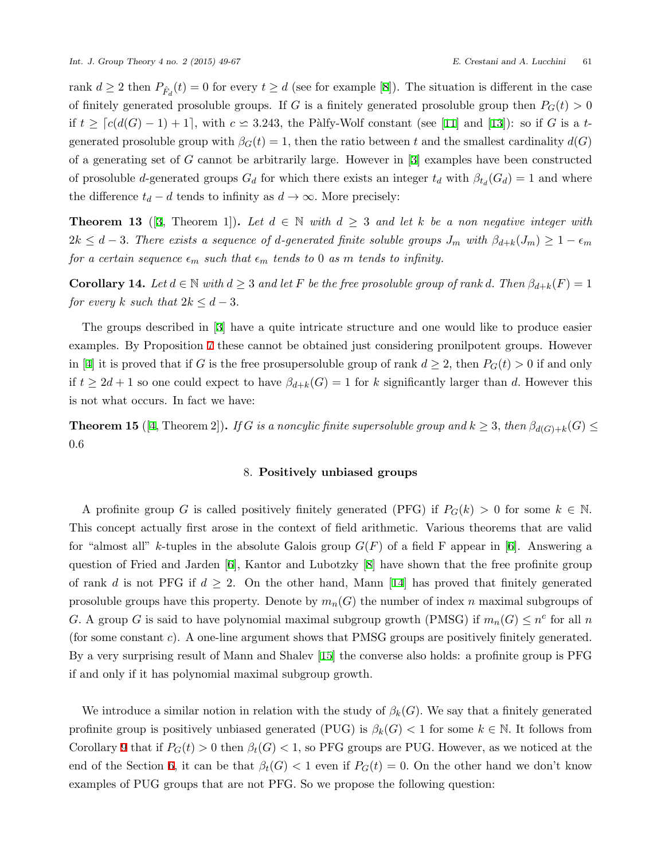rank $d \geq 2$  then  $P_{\hat{F}_d}(t) = 0$  for every  $t \geq d$  (see for example [[8](#page-17-6)]). The situation is different in the case of finitely generated prosoluble groups. If *G* is a finitely generated prosoluble group then  $P_G(t) > 0$ if  $t \geq \lceil c(d(G) - 1) + 1 \rceil$ , with  $c \leq 3.243$ , the Pàlfy-Wolf constant (see [\[11](#page-18-4)] and [\[13](#page-18-5)]): so if *G* is a *t*generated prosoluble group with  $\beta_G(t) = 1$ , then the ratio between *t* and the smallest cardinality  $d(G)$ of a generating set of *G* cannot be arbitrarily large. However in[[3](#page-17-5)] examples have been constructed of prosoluble *d*-generated groups  $G_d$  for which there exists an integer  $t_d$  with  $\beta_{t_d}(G_d) = 1$  and where the difference  $t_d - d$  tends to infinity as  $d \rightarrow \infty$ . More precisely:

**Theorem 13** ([\[3,](#page-17-5) Theorem 1]). Let  $d \in \mathbb{N}$  with  $d \geq 3$  and let k be a non negative integer with  $2k \leq d-3$ . There exists a sequence of d-generated finite soluble groups  $J_m$  with  $\beta_{d+k}(J_m) \geq 1-\epsilon_m$ *for a certain sequence*  $\epsilon_m$  *such that*  $\epsilon_m$  *tends to* 0 *as m tends to infinity.* 

**Corollary 14.** Let  $d \in \mathbb{N}$  with  $d \geq 3$  and let F be the free prosoluble group of rank  $d$ . Then  $\beta_{d+k}(F) = 1$ *for every k such that*  $2k \leq d-3$ *.* 

The groups described in[[3\]](#page-17-5) have a quite intricate structure and one would like to produce easier examples. By Proposition [7](#page-8-0) these cannot be obtained just considering pronilpotent groups. However in[[4](#page-17-3)] it is proved that if *G* is the free prosupersoluble group of rank  $d \geq 2$ , then  $P_G(t) > 0$  if and only if  $t \geq 2d + 1$  so one could expect to have  $\beta_{d+k}(G) = 1$  for *k* significantly larger than *d*. However this is not what occurs. In fact we have:

**Theorem 15** ([[4](#page-17-3), Theorem 2]). If *G* is a noncylic finite supersoluble group and  $k \geq 3$ , then  $\beta_{d(G)+k}(G) \leq$ 0*.*6

# 8. **Positively unbiased groups**

A profinite group *G* is called positively finitely generated (PFG) if  $P_G(k) > 0$  for some  $k \in \mathbb{N}$ . This concept actually first arose in the context of field arithmetic. Various theorems that are valid for"almost all" *k*-tuples in the absolute Galois group  $G(F)$  of a field F appear in [[6](#page-17-7)]. Answering a question of Fried and Jarden[[6](#page-17-7)], Kantor and Lubotzky [\[8\]](#page-17-6) have shown that the free profinite group ofrank *d* is not PFG if  $d \geq 2$ . On the other hand, Mann [[14\]](#page-18-3) has proved that finitely generated prosoluble groups have this property. Denote by  $m_n(G)$  the number of index *n* maximal subgroups of *G.* A group *G* is said to have polynomial maximal subgroup growth (PMSG) if  $m_n(G) \leq n^c$  for all *n* (for some constant *c*). A one-line argument shows that PMSG groups are positively finitely generated. By a very surprising result of Mann and Shalev [\[15](#page-18-6)] the converse also holds: a profinite group is PFG if and only if it has polynomial maximal subgroup growth.

We introduce a similar notion in relation with the study of  $\beta_k(G)$ . We say that a finitely generated profinite group is positively unbiased generated (PUG) is  $\beta_k(G) < 1$  for some  $k \in \mathbb{N}$ . It follows from Corollary [9](#page-11-0) that if  $P_G(t) > 0$  then  $\beta_t(G) < 1$ , so PFG groups are PUG. However, as we noticed at the end of the Section [6](#page-9-1), it can be that  $\beta_t(G) < 1$  even if  $P_G(t) = 0$ . On the other hand we don't know examples of PUG groups that are not PFG. So we propose the following question: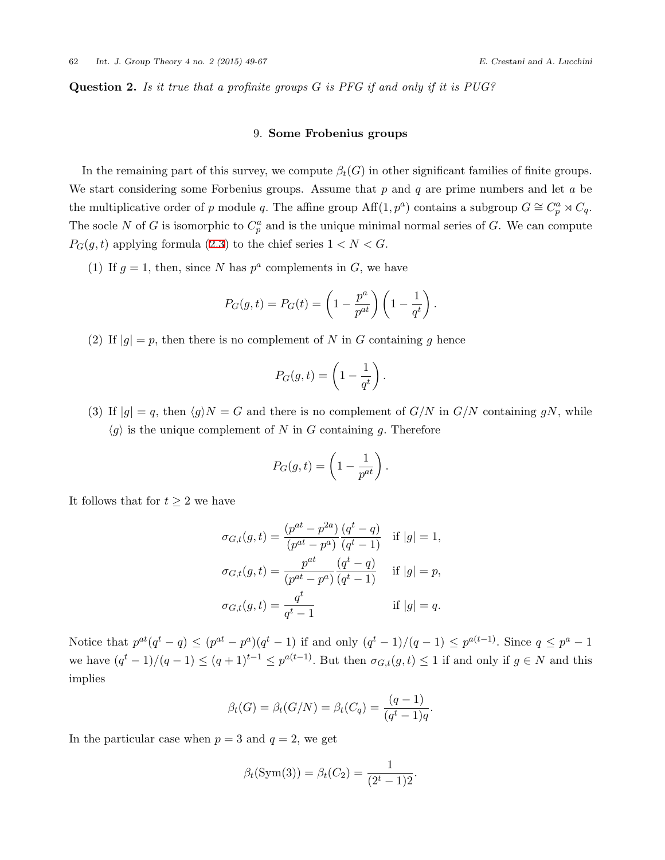<span id="page-13-0"></span>**Question 2.** *Is it true that a profinite groups G is PFG if and only if it is PUG?*

### 9. **Some Frobenius groups**

In the remaining part of this survey, we compute  $\beta_t(G)$  in other significant families of finite groups. We start considering some Forbenius groups. Assume that *p* and *q* are prime numbers and let *a* be the multiplicative order of *p* module *q*. The affine group  $\text{Aff}(1, p^a)$  contains a subgroup  $G \cong C_p^a \rtimes C_q$ . The socle *N* of *G* is isomorphic to  $C_p^a$  and is the unique minimal normal series of *G*. We can compute  $P_G(g, t)$  $P_G(g, t)$  $P_G(g, t)$  applying formula ([2.3\)](#page-3-2) to the chief series  $1 < N < G$ .

(1) If  $g = 1$ , then, since *N* has  $p^a$  complements in *G*, we have

$$
P_G(g,t) = P_G(t) = \left(1 - \frac{p^a}{p^{at}}\right)\left(1 - \frac{1}{q^t}\right).
$$

(2) If  $|g| = p$ , then there is no complement of *N* in *G* containing *g* hence

$$
P_G(g,t) = \left(1 - \frac{1}{q^t}\right).
$$

(3) If  $|g| = q$ , then  $\langle g \rangle N = G$  and there is no complement of  $G/N$  in  $G/N$  containing  $gN$ , while  $\langle g \rangle$  is the unique complement of *N* in *G* containing *g*. Therefore

$$
P_G(g,t) = \left(1 - \frac{1}{p^{at}}\right).
$$

It follows that for  $t \geq 2$  we have

$$
\sigma_{G,t}(g,t) = \frac{(p^{at} - p^{2a})}{(p^{at} - p^{a})} \frac{(q^{t} - q)}{(q^{t} - 1)} \quad \text{if } |g| = 1,
$$
  

$$
\sigma_{G,t}(g,t) = \frac{p^{at}}{(p^{at} - p^{a})} \frac{(q^{t} - q)}{(q^{t} - 1)} \quad \text{if } |g| = p,
$$
  

$$
\sigma_{G,t}(g,t) = \frac{q^{t}}{q^{t} - 1} \qquad \text{if } |g| = q.
$$

Notice that  $p^{at}(q^t - q) \leq (p^{at} - p^a)(q^t - 1)$  if and only  $(q^t - 1)/(q - 1) \leq p^{a(t-1)}$ . Since  $q \leq p^a - 1$ we have  $(q^t-1)/(q-1) \leq (q+1)^{t-1} \leq p^{a(t-1)}$ . But then  $\sigma_{G,t}(g,t) \leq 1$  if and only if  $g \in N$  and this implies

$$
\beta_t(G) = \beta_t(G/N) = \beta_t(C_q) = \frac{(q-1)}{(q^t - 1)q}.
$$

In the particular case when  $p = 3$  and  $q = 2$ , we get

$$
\beta_t(\text{Sym}(3)) = \beta_t(C_2) = \frac{1}{(2^t - 1)2}.
$$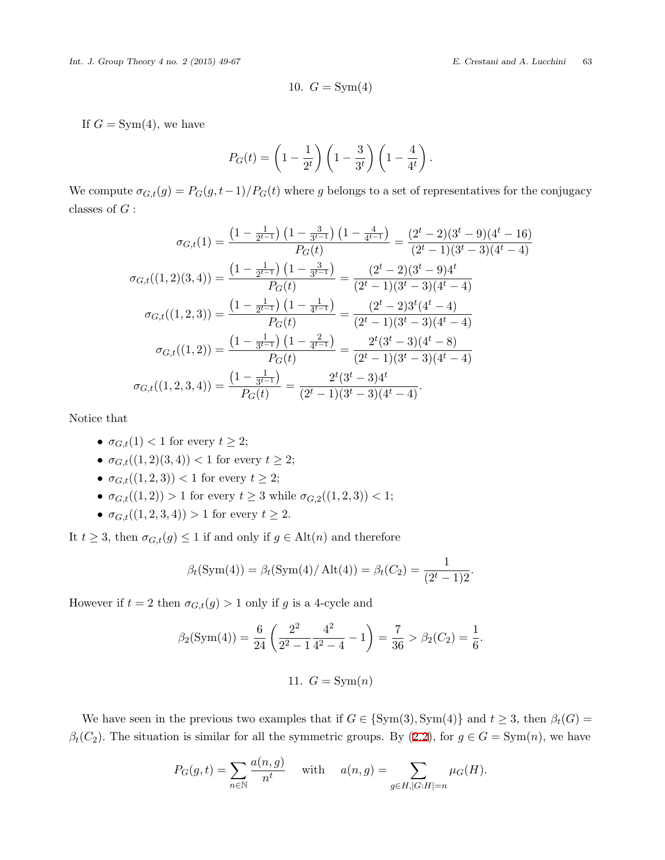$$
10. G = \text{Sym}(4)
$$

If  $G = Sym(4)$ , we have

$$
P_G(t) = \left(1 - \frac{1}{2^t}\right) \left(1 - \frac{3}{3^t}\right) \left(1 - \frac{4}{4^t}\right).
$$

We compute  $\sigma_{G,t}(g) = P_G(g, t-1)/P_G(t)$  where *g* belongs to a set of representatives for the conjugacy classes of *G* :

$$
\sigma_{G,t}(1) = \frac{\left(1 - \frac{1}{2^{t-1}}\right)\left(1 - \frac{3}{3^{t-1}}\right)\left(1 - \frac{4}{4^{t-1}}\right)}{P_G(t)} = \frac{(2^t - 2)(3^t - 9)(4^t - 16)}{(2^t - 1)(3^t - 3)(4^t - 4)}
$$

$$
\sigma_{G,t}((1,2)(3,4)) = \frac{\left(1 - \frac{1}{2^{t-1}}\right)\left(1 - \frac{3}{3^{t-1}}\right)}{P_G(t)} = \frac{(2^t - 2)(3^t - 9)4^t}{(2^t - 1)(3^t - 3)(4^t - 4)}
$$

$$
\sigma_{G,t}((1,2,3)) = \frac{\left(1 - \frac{1}{2^{t-1}}\right)\left(1 - \frac{1}{4^{t-1}}\right)}{P_G(t)} = \frac{(2^t - 2)3^t(4^t - 4)}{(2^t - 1)(3^t - 3)(4^t - 4)}
$$

$$
\sigma_{G,t}((1,2)) = \frac{\left(1 - \frac{1}{3^{t-1}}\right)\left(1 - \frac{2}{4^{t-1}}\right)}{P_G(t)} = \frac{2^t(3^t - 3)(4^t - 8)}{(2^t - 1)(3^t - 3)(4^t - 4)}
$$

$$
\sigma_{G,t}((1,2,3,4)) = \frac{\left(1 - \frac{1}{3^{t-1}}\right)}{P_G(t)} = \frac{2^t(3^t - 3)4^t}{(2^t - 1)(3^t - 3)(4^t - 4)}.
$$

Notice that

- $\sigma_{G,t}(1)$  < 1 for every  $t \geq 2$ ;
- $\sigma_{G,t}((1,2)(3,4)) < 1$  for every  $t \geq 2$ ;
- *•*  $\sigma_{G,t}((1,2,3))$  < 1 for every *t* ≥ 2;
- $\bullet$  *σG*,*t*((1*,* 2)) *>* 1 for every *t* ≥ 3 while *σ*<sub>*G*,2</sub>((1*,* 2*,* 3)) < 1;
- $\sigma_{G,t}((1,2,3,4)) > 1$  for every  $t \geq 2$ .

It  $t \geq 3$ , then  $\sigma_{G,t}(g) \leq 1$  if and only if  $g \in \text{Alt}(n)$  and therefore

$$
\beta_t(\text{Sym}(4)) = \beta_t(\text{Sym}(4)/\text{Alt}(4)) = \beta_t(C_2) = \frac{1}{(2^t - 1)2}.
$$

However if  $t = 2$  then  $\sigma_{G,t}(g) > 1$  only if *g* is a 4-cycle and

$$
\beta_2(\text{Sym}(4)) = \frac{6}{24} \left( \frac{2^2}{2^2 - 1} \frac{4^2}{4^2 - 4} - 1 \right) = \frac{7}{36} > \beta_2(C_2) = \frac{1}{6}.
$$
  
11.  $G = \text{Sym}(n)$ 

We have seen in the previous two examples that if  $G \in \{Sym(3), Sym(4)\}$  and  $t \geq 3$ , then  $\beta_t(G) =$  $\beta_t(C_2)$ .The situation is similar for all the symmetric groups. By ([2.2](#page-3-0)), for  $g \in G = \text{Sym}(n)$ , we have

$$
P_G(g,t) = \sum_{n \in \mathbb{N}} \frac{a(n,g)}{n^t} \quad \text{ with } \quad a(n,g) = \sum_{g \in H, |G:H| = n} \mu_G(H).
$$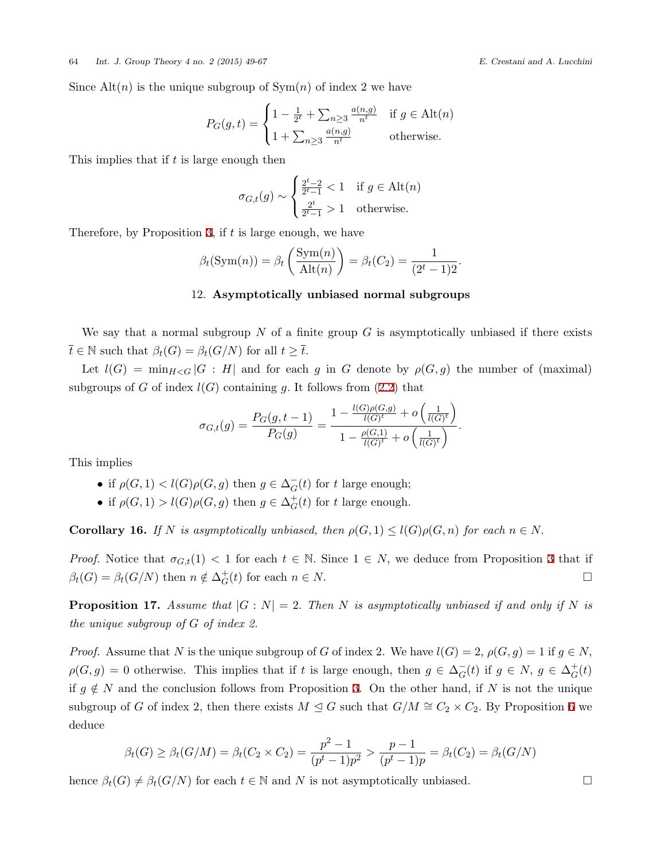Since  $\text{Alt}(n)$  is the unique subgroup of  $\text{Sym}(n)$  of index 2 we have

$$
P_G(g,t) = \begin{cases} 1 - \frac{1}{2^t} + \sum_{n\geq 3} \frac{a(n,g)}{n^t} & \text{if } g \in \text{Alt}(n) \\ 1 + \sum_{n\geq 3} \frac{a(n,g)}{n^t} & \text{otherwise.} \end{cases}
$$

This implies that if *t* is large enough then

$$
\sigma_{G,t}(g) \sim \begin{cases} \frac{2^t - 2}{2^t - 1} < 1 \quad \text{if } g \in \text{Alt}(n) \\ \frac{2^t}{2^t - 1} > 1 \quad \text{otherwise.} \end{cases}
$$

Therefore, by Proposition [3](#page-5-0), if *t* is large enough, we have

$$
\beta_t(\operatorname{Sym}(n)) = \beta_t\left(\frac{\operatorname{Sym}(n)}{\operatorname{Alt}(n)}\right) = \beta_t(C_2) = \frac{1}{(2^t - 1)2}.
$$

#### 12. **Asymptotically unbiased normal subgroups**

We say that a normal subgroup *N* of a finite group *G* is asymptotically unbiased if there exists  $\overline{t} \in \mathbb{N}$  such that  $\beta_t(G) = \beta_t(G/N)$  for all  $t \geq \overline{t}$ .

Let  $l(G) = \min_{H < G} |G : H|$  and for each g in G denote by  $\rho(G, g)$  the number of (maximal) subgroups of *G* of index  $l(G)$  containing *g*. It follows from (2.[2\)](#page-3-0) that

$$
\sigma_{G,t}(g) = \frac{P_G(g,t-1)}{P_G(g)} = \frac{1 - \frac{l(G)\rho(G,g)}{l(G)^t} + o\left(\frac{1}{l(G)^t}\right)}{1 - \frac{\rho(G,1)}{l(G)^t} + o\left(\frac{1}{l(G)^t}\right)}.
$$

This implies

- if  $\rho(G, 1) < l(G)\rho(G, g)$  then  $g \in \Delta_G^{-}(t)$  for *t* large enough;
- if  $\rho(G, 1) > l(G) \rho(G, g)$  then  $g \in \Delta_G^+$  $_G^+(t)$  for *t* large enough.

**Corollary 16.** *If N is asymptotically unbiased, then*  $\rho(G,1) \leq l(G)\rho(G,n)$  *for each*  $n \in N$ .

*Proof.* Notice that  $\sigma_{G,t}(1) < 1$  for each  $t \in \mathbb{N}$ . Since  $1 \in N$ , we deduce from Proposition [3](#page-5-0) that if  $\beta_t(G) = \beta_t(G/N)$  then  $n \notin \Delta_G^+$  $G(t)$  for each  $n \in N$ .

**Proposition 17.** Assume that  $|G: N| = 2$ . Then N is asymptotically unbiased if and only if N is *the unique subgroup of G of index 2.*

*Proof.* Assume that *N* is the unique subgroup of *G* of index 2. We have  $l(G) = 2$ ,  $\rho(G, g) = 1$  if  $g \in N$ ,  $\rho(G, g) = 0$  otherwise. This implies that if *t* is large enough, then  $g \in \Delta_G^-(t)$  if  $g \in N$ ,  $g \in \Delta_G^+$  $_G^+(t)$ if  $g \notin N$  and the conclusion follows from Proposition [3.](#page-5-0) On the other hand, if *N* is not the unique subgroup of *G* of index 2, then there exists  $M \leq G$  such that  $G/M \cong C_2 \times C_2$ . By Proposition [6](#page-8-1) we deduce

$$
\beta_t(G) \ge \beta_t(G/M) = \beta_t(C_2 \times C_2) = \frac{p^2 - 1}{(p^t - 1)p^2} > \frac{p - 1}{(p^t - 1)p} = \beta_t(C_2) = \beta_t(G/N)
$$

hence  $\beta_t(G) \neq \beta_t(G/N)$  for each  $t \in \mathbb{N}$  and N is not asymptotically unbiased. □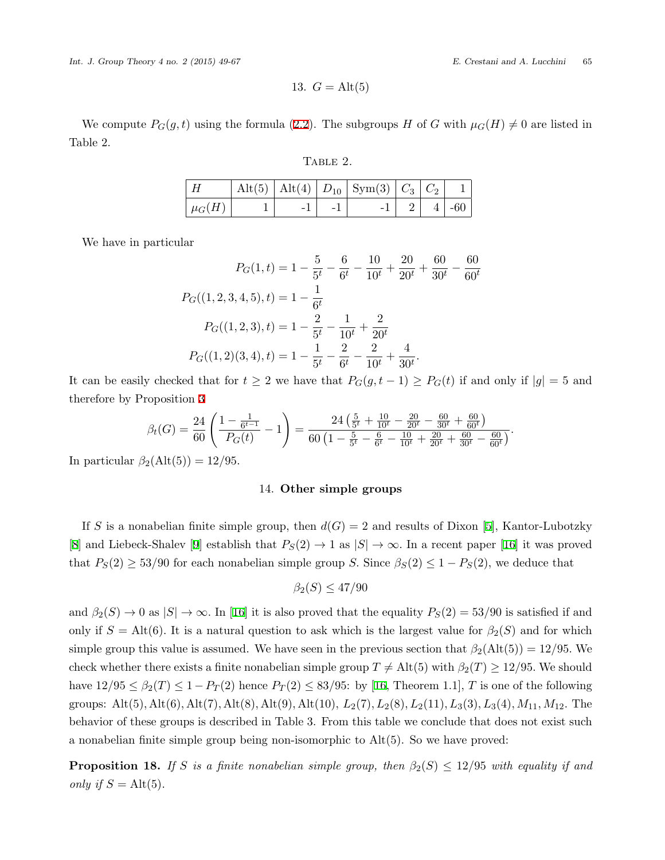13. 
$$
G = Alt(5)
$$

We compute  $P_G(g, t)$  using the formula [\(2.2](#page-3-0)). The subgroups *H* of *G* with  $\mu_G(H) \neq 0$  are listed in Table 2.

| \ BL<br>. |  |
|-----------|--|
|           |  |

| $\mid H$               |  | $\mid \mathrm{Alt}(5)\mid \mathrm{Alt}(4)\mid D_{10}\mid \mathrm{Sym}(3)\mid C_3\mid C_2\mid -1\mid$ |  |                    |
|------------------------|--|------------------------------------------------------------------------------------------------------|--|--------------------|
| $\perp \mu_G(H) \perp$ |  |                                                                                                      |  | $-1$   2   4   -60 |

We have in particular

$$
P_G(1,t) = 1 - \frac{5}{5^t} - \frac{6}{6^t} - \frac{10}{10^t} + \frac{20}{20^t} + \frac{60}{30^t} - \frac{60}{60^t}
$$

$$
P_G((1,2,3,4,5),t) = 1 - \frac{1}{6^t}
$$

$$
P_G((1,2,3),t) = 1 - \frac{2}{5^t} - \frac{1}{10^t} + \frac{2}{20^t}
$$

$$
P_G((1,2)(3,4),t) = 1 - \frac{1}{5^t} - \frac{2}{6^t} - \frac{2}{10^t} + \frac{4}{30^t}.
$$

It can be easily checked that for  $t \geq 2$  we have that  $P_G(g, t-1) \geq P_G(t)$  if and only if  $|g| = 5$  and therefore by Proposition [3](#page-5-0)

$$
\beta_t(G) = \frac{24}{60} \left( \frac{1 - \frac{1}{6^{t-1}}}{P_G(t)} - 1 \right) = \frac{24 \left( \frac{5}{5^t} + \frac{10}{10^t} - \frac{20}{20^t} - \frac{60}{30^t} + \frac{60}{60^t} \right)}{60 \left( 1 - \frac{5}{5^t} - \frac{6}{6^t} - \frac{10}{10^t} + \frac{20}{20^t} + \frac{60}{30^t} - \frac{60}{60^t} \right)}.
$$

In particular  $\beta_2(\text{Alt}(5)) = 12/95$ .

### 14. **Other simple groups**

If *S* is a nonabelian finite simple group, then  $d(G) = 2$  and results of Dixon [\[5\]](#page-17-8), Kantor-Lubotzky [[8\]](#page-17-6)and Liebeck-Shalev [[9](#page-17-9)] establish that  $P_S(2) \to 1$  as  $|S| \to \infty$ . In a recent paper [[16\]](#page-18-7) it was proved that  $P_S(2) \geq 53/90$  for each nonabelian simple group *S*. Since  $\beta_S(2) \leq 1 - P_S(2)$ , we deduce that

$$
\beta_2(S) \le 47/90
$$

and  $\beta_2(S) \to 0$  as  $|S| \to \infty$ . In [\[16](#page-18-7)] it is also proved that the equality  $P_S(2) = 53/90$  is satisfied if and only if  $S = Alt(6)$ . It is a natural question to ask which is the largest value for  $\beta_2(S)$  and for which simple group this value is assumed. We have seen in the previous section that  $\beta_2(\text{Alt}(5)) = 12/95$ . We check whether there exists a finite nonabelian simple group  $T \neq \text{Alt}(5)$  with  $\beta_2(T) \geq 12/95$ . We should have $12/95 \leq \beta_2(T) \leq 1 - P_T(2)$  hence  $P_T(2) \leq 83/95$ : by [[16,](#page-18-7) Theorem 1.1], *T* is one of the following groups: Alt(5)*,* Alt(6)*,* Alt(7)*,* Alt(8)*,* Alt(9)*,* Alt(10)*, L*2(7)*, L*2(8)*, L*2(11)*, L*3(3)*, L*3(4)*, M*11*, M*12*.* The behavior of these groups is described in Table 3. From this table we conclude that does not exist such a nonabelian finite simple group being non-isomorphic to Alt(5). So we have proved:

**Proposition 18.** *If S is a finite nonabelian simple group, then*  $\beta_2(S) \leq 12/95$  *with equality if and only if*  $S = Alt(5)$ *.*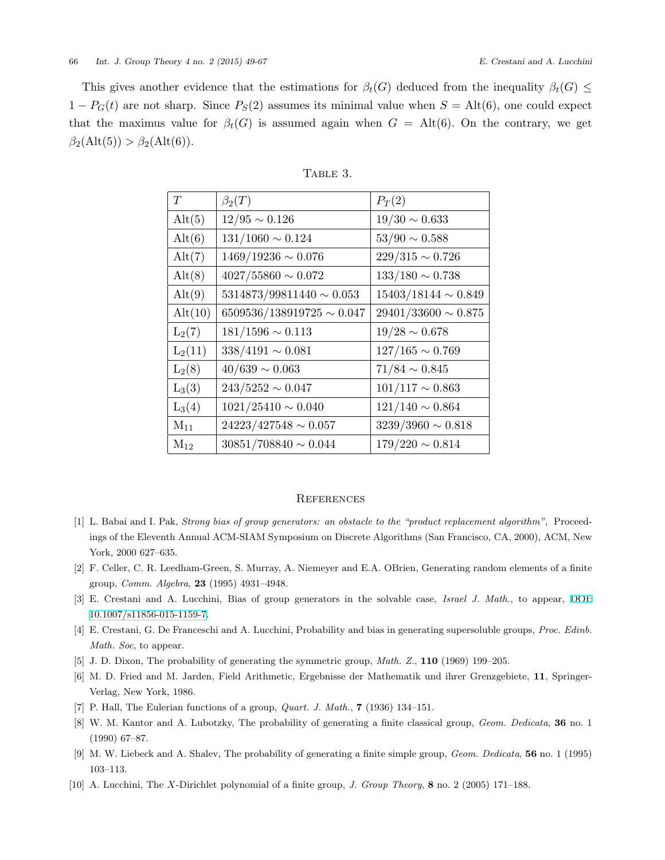This gives another evidence that the estimations for  $\beta_t(G)$  deduced from the inequality  $\beta_t(G) \leq$  $1 - P_G(t)$  are not sharp. Since  $P_S(2)$  assumes its minimal value when  $S = \text{Alt}(6)$ , one could expect that the maximus value for  $\beta_t(G)$  is assumed again when  $G = \text{Alt}(6)$ . On the contrary, we get  $\beta_2(\text{Alt}(5)) > \beta_2(\text{Alt}(6)).$ 

| T         | $\beta_2(T)$                   | $P_T(2)$                 |
|-----------|--------------------------------|--------------------------|
| Alt(5)    | $12/95\sim 0.126$              | $19/30 \sim 0.633$       |
| Alt(6)    | $131/1060 \sim 0.124$          | $53/90 \sim 0.588$       |
| Alt(7)    | $1469/19236 \sim 0.076$        | $229/315 \sim 0.726$     |
| Alt(8)    | $4027/55860 \sim 0.072$        | $133/180\sim0.738$       |
| Alt(9)    | $5314873/99811440 \sim 0.053$  | $15403/18144 \sim 0.849$ |
| Alt(10)   | $6509536/138919725 \sim 0.047$ | $29401/33600 \sim 0.875$ |
| $L_2(7)$  | $181/1596 \sim 0.113$          | $19/28 \sim 0.678$       |
| $L_2(11)$ | $338/4191 \sim 0.081$          | $127/165 \sim 0.769$     |
| $L_2(8)$  | $40/639 \sim 0.063$            | $71/84 \sim 0.845$       |
| $L_3(3)$  | $243/5252\sim0.047$            | $101/117 \sim 0.863$     |
| $L_3(4)$  | $1021/25410 \sim 0.040$        | $121/140 \sim 0.864$     |
| $M_{11}$  | $24223/427548 \sim 0.057$      | $3239/3960 \sim 0.818$   |
| $M_{12}$  | $30851/708840 \sim 0.044$      | $179/220 \sim 0.814$     |

| BL.<br>г. |  |
|-----------|--|
|           |  |

#### **REFERENCES**

- <span id="page-17-4"></span>[1] L. Babai and I. Pak, *Strong bias of group generators: an obstacle to the "product replacement algorithm"*, Proceedings of the Eleventh Annual ACM-SIAM Symposium on Discrete Algorithms (San Francisco, CA, 2000), ACM, New York, 2000 627–635.
- <span id="page-17-0"></span>[2] F. Celler, C. R. Leedham-Green, S. Murray, A. Niemeyer and E.A. OBrien, Generating random elements of a finite group, *Comm. Algebra*, **23** (1995) 4931–4948.
- <span id="page-17-5"></span>[3] E. Crestani and A. Lucchini, Bias of group generators in the solvable case, *Israel J. Math.*, to appear, [DOI:](http://dx.doi.org/10.1007/s11856-015-1159-7) [10.1007/s11856-015-1159-7](http://dx.doi.org/10.1007/s11856-015-1159-7).
- <span id="page-17-3"></span>[4] E. Crestani, G. De Franceschi and A. Lucchini, Probability and bias in generating supersoluble groups, *Proc. Edinb. Math. Soc*, to appear.
- <span id="page-17-8"></span>[5] J. D. Dixon, The probability of generating the symmetric group, *Math. Z.*, **110** (1969) 199–205.
- <span id="page-17-7"></span>[6] M. D. Fried and M. Jarden, Field Arithmetic, Ergebnisse der Mathematik und ihrer Grenzgebiete, **11**, Springer-Verlag, New York, 1986.
- <span id="page-17-1"></span>[7] P. Hall, The Eulerian functions of a group, *Quart. J. Math.*, **7** (1936) 134–151.
- <span id="page-17-6"></span>[8] W. M. Kantor and A. Lubotzky, The probability of generating a finite classical group, *Geom. Dedicata*, **36** no. 1 (1990) 67–87.
- <span id="page-17-9"></span>[9] M. W. Liebeck and A. Shalev, The probability of generating a finite simple group, *Geom. Dedicata*, **56** no. 1 (1995) 103–113.
- <span id="page-17-2"></span>[10] A. Lucchini, The *X*-Dirichlet polynomial of a finite group, *J. Group Theory*, **8** no. 2 (2005) 171–188.